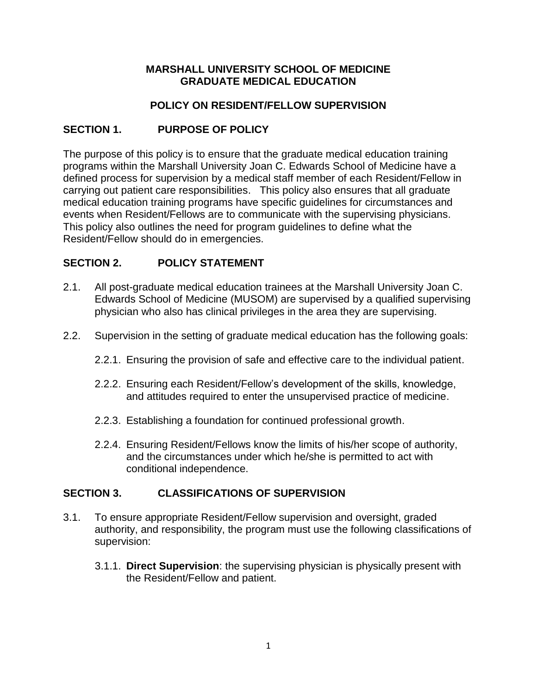#### **MARSHALL UNIVERSITY SCHOOL OF MEDICINE GRADUATE MEDICAL EDUCATION**

#### **POLICY ON RESIDENT/FELLOW SUPERVISION**

## **SECTION 1. PURPOSE OF POLICY**

The purpose of this policy is to ensure that the graduate medical education training programs within the Marshall University Joan C. Edwards School of Medicine have a defined process for supervision by a medical staff member of each Resident/Fellow in carrying out patient care responsibilities. This policy also ensures that all graduate medical education training programs have specific guidelines for circumstances and events when Resident/Fellows are to communicate with the supervising physicians. This policy also outlines the need for program guidelines to define what the Resident/Fellow should do in emergencies.

#### **SECTION 2. POLICY STATEMENT**

- 2.1. All post-graduate medical education trainees at the Marshall University Joan C. Edwards School of Medicine (MUSOM) are supervised by a qualified supervising physician who also has clinical privileges in the area they are supervising.
- 2.2. Supervision in the setting of graduate medical education has the following goals:
	- 2.2.1. Ensuring the provision of safe and effective care to the individual patient.
	- 2.2.2. Ensuring each Resident/Fellow's development of the skills, knowledge, and attitudes required to enter the unsupervised practice of medicine.
	- 2.2.3. Establishing a foundation for continued professional growth.
	- 2.2.4. Ensuring Resident/Fellows know the limits of his/her scope of authority, and the circumstances under which he/she is permitted to act with conditional independence.

#### **SECTION 3. CLASSIFICATIONS OF SUPERVISION**

- 3.1. To ensure appropriate Resident/Fellow supervision and oversight, graded authority, and responsibility, the program must use the following classifications of supervision:
	- 3.1.1. **Direct Supervision**: the supervising physician is physically present with the Resident/Fellow and patient.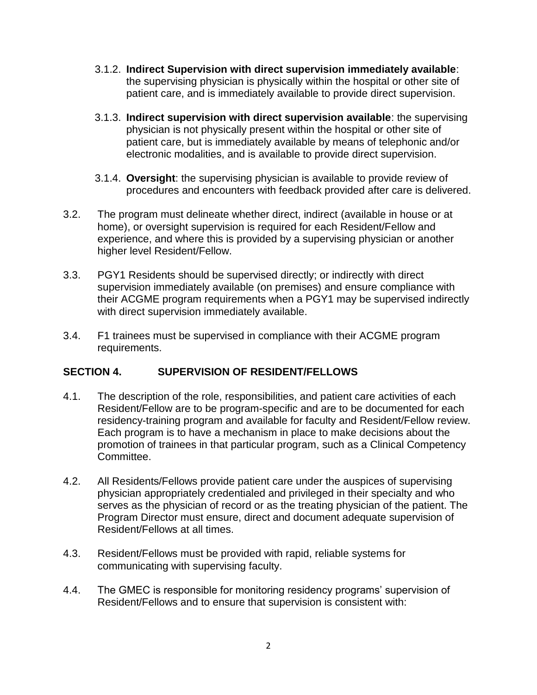- 3.1.2. **Indirect Supervision with direct supervision immediately available**: the supervising physician is physically within the hospital or other site of patient care, and is immediately available to provide direct supervision.
- 3.1.3. **Indirect supervision with direct supervision available**: the supervising physician is not physically present within the hospital or other site of patient care, but is immediately available by means of telephonic and/or electronic modalities, and is available to provide direct supervision.
- 3.1.4. **Oversight**: the supervising physician is available to provide review of procedures and encounters with feedback provided after care is delivered.
- 3.2. The program must delineate whether direct, indirect (available in house or at home), or oversight supervision is required for each Resident/Fellow and experience, and where this is provided by a supervising physician or another higher level Resident/Fellow.
- 3.3. PGY1 Residents should be supervised directly; or indirectly with direct supervision immediately available (on premises) and ensure compliance with their ACGME program requirements when a PGY1 may be supervised indirectly with direct supervision immediately available.
- 3.4. F1 trainees must be supervised in compliance with their ACGME program requirements.

## **SECTION 4. SUPERVISION OF RESIDENT/FELLOWS**

- 4.1. The description of the role, responsibilities, and patient care activities of each Resident/Fellow are to be program-specific and are to be documented for each residency-training program and available for faculty and Resident/Fellow review. Each program is to have a mechanism in place to make decisions about the promotion of trainees in that particular program, such as a Clinical Competency Committee.
- 4.2. All Residents/Fellows provide patient care under the auspices of supervising physician appropriately credentialed and privileged in their specialty and who serves as the physician of record or as the treating physician of the patient. The Program Director must ensure, direct and document adequate supervision of Resident/Fellows at all times.
- 4.3. Resident/Fellows must be provided with rapid, reliable systems for communicating with supervising faculty.
- 4.4. The GMEC is responsible for monitoring residency programs' supervision of Resident/Fellows and to ensure that supervision is consistent with: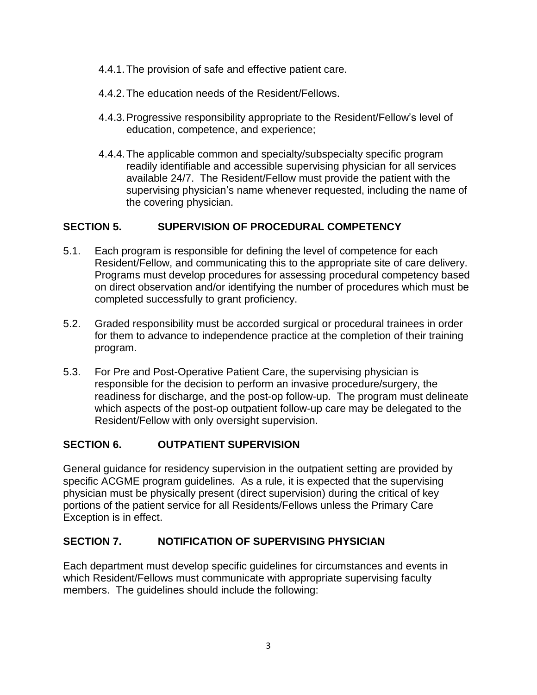- 4.4.1.The provision of safe and effective patient care.
- 4.4.2.The education needs of the Resident/Fellows.
- 4.4.3.Progressive responsibility appropriate to the Resident/Fellow's level of education, competence, and experience;
- 4.4.4.The applicable common and specialty/subspecialty specific program readily identifiable and accessible supervising physician for all services available 24/7. The Resident/Fellow must provide the patient with the supervising physician's name whenever requested, including the name of the covering physician.

# **SECTION 5. SUPERVISION OF PROCEDURAL COMPETENCY**

- 5.1. Each program is responsible for defining the level of competence for each Resident/Fellow, and communicating this to the appropriate site of care delivery. Programs must develop procedures for assessing procedural competency based on direct observation and/or identifying the number of procedures which must be completed successfully to grant proficiency.
- 5.2. Graded responsibility must be accorded surgical or procedural trainees in order for them to advance to independence practice at the completion of their training program.
- 5.3. For Pre and Post-Operative Patient Care, the supervising physician is responsible for the decision to perform an invasive procedure/surgery, the readiness for discharge, and the post-op follow-up. The program must delineate which aspects of the post-op outpatient follow-up care may be delegated to the Resident/Fellow with only oversight supervision.

## **SECTION 6. OUTPATIENT SUPERVISION**

General guidance for residency supervision in the outpatient setting are provided by specific ACGME program guidelines. As a rule, it is expected that the supervising physician must be physically present (direct supervision) during the critical of key portions of the patient service for all Residents/Fellows unless the Primary Care Exception is in effect.

## **SECTION 7. NOTIFICATION OF SUPERVISING PHYSICIAN**

Each department must develop specific guidelines for circumstances and events in which Resident/Fellows must communicate with appropriate supervising faculty members. The guidelines should include the following: